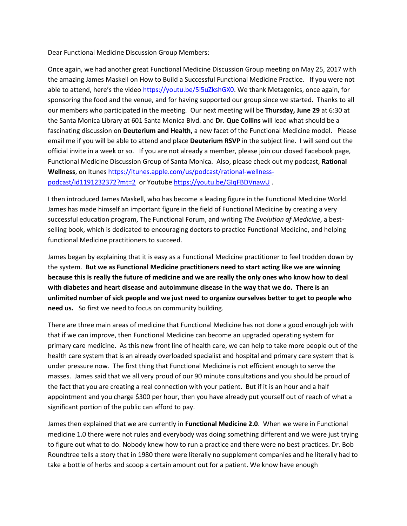Dear Functional Medicine Discussion Group Members:

Once again, we had another great Functional Medicine Discussion Group meeting on May 25, 2017 with the amazing James Maskell on How to Build a Successful Functional Medicine Practice. If you were not able to attend, here's the video [https://youtu.be/5i5uZkshGX0.](https://youtu.be/5i5uZkshGX0) We thank Metagenics, once again, for sponsoring the food and the venue, and for having supported our group since we started. Thanks to all our members who participated in the meeting. Our next meeting will be **Thursday, June 29** at 6:30 at the Santa Monica Library at 601 Santa Monica Blvd. and **Dr. Que Collins** will lead what should be a fascinating discussion on **Deuterium and Health,** a new facet of the Functional Medicine model. Please email me if you will be able to attend and place **Deuterium RSVP** in the subject line. I will send out the official invite in a week or so. If you are not already a member, please join our closed Facebook page, Functional Medicine Discussion Group of Santa Monica. Also, please check out my podcast, **Rational Wellness**, on Itune[s https://itunes.apple.com/us/podcast/rational-wellness](https://itunes.apple.com/us/podcast/rational-wellness-podcast/id1191232372?mt=2)[podcast/id1191232372?mt=2](https://itunes.apple.com/us/podcast/rational-wellness-podcast/id1191232372?mt=2) or Youtube <https://youtu.be/GIqFBDVnawU> .

I then introduced James Maskell, who has become a leading figure in the Functional Medicine World. James has made himself an important figure in the field of Functional Medicine by creating a very successful education program, The Functional Forum, and writing *The Evolution of Medicine*, a bestselling book, which is dedicated to encouraging doctors to practice Functional Medicine, and helping functional Medicine practitioners to succeed.

James began by explaining that it is easy as a Functional Medicine practitioner to feel trodden down by the system. **But we as Functional Medicine practitioners need to start acting like we are winning because this is really the future of medicine and we are really the only ones who know how to deal with diabetes and heart disease and autoimmune disease in the way that we do. There is an unlimited number of sick people and we just need to organize ourselves better to get to people who need us.** So first we need to focus on community building.

There are three main areas of medicine that Functional Medicine has not done a good enough job with that if we can improve, then Functional Medicine can become an upgraded operating system for primary care medicine. As this new front line of health care, we can help to take more people out of the health care system that is an already overloaded specialist and hospital and primary care system that is under pressure now. The first thing that Functional Medicine is not efficient enough to serve the masses. James said that we all very proud of our 90 minute consultations and you should be proud of the fact that you are creating a real connection with your patient. But if it is an hour and a half appointment and you charge \$300 per hour, then you have already put yourself out of reach of what a significant portion of the public can afford to pay.

James then explained that we are currently in **Functional Medicine 2.0**. When we were in Functional medicine 1.0 there were not rules and everybody was doing something different and we were just trying to figure out what to do. Nobody knew how to run a practice and there were no best practices. Dr. Bob Roundtree tells a story that in 1980 there were literally no supplement companies and he literally had to take a bottle of herbs and scoop a certain amount out for a patient. We know have enough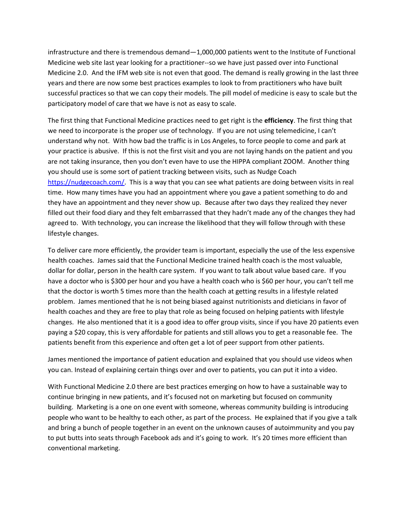infrastructure and there is tremendous demand—1,000,000 patients went to the Institute of Functional Medicine web site last year looking for a practitioner--so we have just passed over into Functional Medicine 2.0. And the IFM web site is not even that good. The demand is really growing in the last three years and there are now some best practices examples to look to from practitioners who have built successful practices so that we can copy their models. The pill model of medicine is easy to scale but the participatory model of care that we have is not as easy to scale.

The first thing that Functional Medicine practices need to get right is the **efficiency**. The first thing that we need to incorporate is the proper use of technology. If you are not using telemedicine, I can't understand why not. With how bad the traffic is in Los Angeles, to force people to come and park at your practice is abusive. If this is not the first visit and you are not laying hands on the patient and you are not taking insurance, then you don't even have to use the HIPPA compliant ZOOM. Another thing you should use is some sort of patient tracking between visits, such as Nudge Coach [https://nudgecoach.com/.](https://nudgecoach.com/) This is a way that you can see what patients are doing between visits in real time. How many times have you had an appointment where you gave a patient something to do and they have an appointment and they never show up. Because after two days they realized they never filled out their food diary and they felt embarrassed that they hadn't made any of the changes they had agreed to. With technology, you can increase the likelihood that they will follow through with these lifestyle changes.

To deliver care more efficiently, the provider team is important, especially the use of the less expensive health coaches. James said that the Functional Medicine trained health coach is the most valuable, dollar for dollar, person in the health care system. If you want to talk about value based care. If you have a doctor who is \$300 per hour and you have a health coach who is \$60 per hour, you can't tell me that the doctor is worth 5 times more than the health coach at getting results in a lifestyle related problem. James mentioned that he is not being biased against nutritionists and dieticians in favor of health coaches and they are free to play that role as being focused on helping patients with lifestyle changes. He also mentioned that it is a good idea to offer group visits, since if you have 20 patients even paying a \$20 copay, this is very affordable for patients and still allows you to get a reasonable fee. The patients benefit from this experience and often get a lot of peer support from other patients.

James mentioned the importance of patient education and explained that you should use videos when you can. Instead of explaining certain things over and over to patients, you can put it into a video.

With Functional Medicine 2.0 there are best practices emerging on how to have a sustainable way to continue bringing in new patients, and it's focused not on marketing but focused on community building. Marketing is a one on one event with someone, whereas community building is introducing people who want to be healthy to each other, as part of the process. He explained that if you give a talk and bring a bunch of people together in an event on the unknown causes of autoimmunity and you pay to put butts into seats through Facebook ads and it's going to work. It's 20 times more efficient than conventional marketing.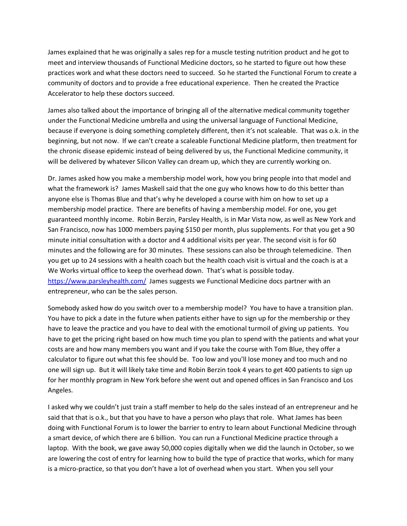James explained that he was originally a sales rep for a muscle testing nutrition product and he got to meet and interview thousands of Functional Medicine doctors, so he started to figure out how these practices work and what these doctors need to succeed. So he started the Functional Forum to create a community of doctors and to provide a free educational experience. Then he created the Practice Accelerator to help these doctors succeed.

James also talked about the importance of bringing all of the alternative medical community together under the Functional Medicine umbrella and using the universal language of Functional Medicine, because if everyone is doing something completely different, then it's not scaleable. That was o.k. in the beginning, but not now. If we can't create a scaleable Functional Medicine platform, then treatment for the chronic disease epidemic instead of being delivered by us, the Functional Medicine community, it will be delivered by whatever Silicon Valley can dream up, which they are currently working on.

Dr. James asked how you make a membership model work, how you bring people into that model and what the framework is? James Maskell said that the one guy who knows how to do this better than anyone else is Thomas Blue and that's why he developed a course with him on how to set up a membership model practice. There are benefits of having a membership model. For one, you get guaranteed monthly income. Robin Berzin, Parsley Health, is in Mar Vista now, as well as New York and San Francisco, now has 1000 members paying \$150 per month, plus supplements. For that you get a 90 minute initial consultation with a doctor and 4 additional visits per year. The second visit is for 60 minutes and the following are for 30 minutes. These sessions can also be through telemedicine. Then you get up to 24 sessions with a health coach but the health coach visit is virtual and the coach is at a We Works virtual office to keep the overhead down. That's what is possible today. <https://www.parsleyhealth.com/>James suggests we Functional Medicine docs partner with an entrepreneur, who can be the sales person.

Somebody asked how do you switch over to a membership model? You have to have a transition plan. You have to pick a date in the future when patients either have to sign up for the membership or they have to leave the practice and you have to deal with the emotional turmoil of giving up patients. You have to get the pricing right based on how much time you plan to spend with the patients and what your costs are and how many members you want and if you take the course with Tom Blue, they offer a calculator to figure out what this fee should be. Too low and you'll lose money and too much and no one will sign up. But it will likely take time and Robin Berzin took 4 years to get 400 patients to sign up for her monthly program in New York before she went out and opened offices in San Francisco and Los Angeles.

I asked why we couldn't just train a staff member to help do the sales instead of an entrepreneur and he said that that is o.k., but that you have to have a person who plays that role. What James has been doing with Functional Forum is to lower the barrier to entry to learn about Functional Medicine through a smart device, of which there are 6 billion. You can run a Functional Medicine practice through a laptop. With the book, we gave away 50,000 copies digitally when we did the launch in October, so we are lowering the cost of entry for learning how to build the type of practice that works, which for many is a micro-practice, so that you don't have a lot of overhead when you start. When you sell your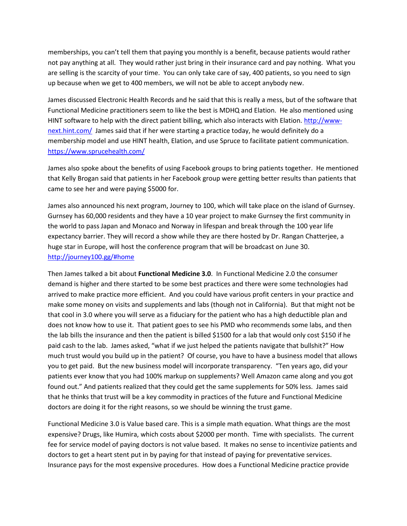memberships, you can't tell them that paying you monthly is a benefit, because patients would rather not pay anything at all. They would rather just bring in their insurance card and pay nothing. What you are selling is the scarcity of your time. You can only take care of say, 400 patients, so you need to sign up because when we get to 400 members, we will not be able to accept anybody new.

James discussed Electronic Health Records and he said that this is really a mess, but of the software that Functional Medicine practitioners seem to like the best is MDHQ and Elation. He also mentioned using HINT software to help with the direct patient billing, which also interacts with Elation. [http://www](http://www-next.hint.com/)[next.hint.com/](http://www-next.hint.com/) James said that if her were starting a practice today, he would definitely do a membership model and use HINT health, Elation, and use Spruce to facilitate patient communication. <https://www.sprucehealth.com/>

James also spoke about the benefits of using Facebook groups to bring patients together. He mentioned that Kelly Brogan said that patients in her Facebook group were getting better results than patients that came to see her and were paying \$5000 for.

James also announced his next program, Journey to 100, which will take place on the island of Gurnsey. Gurnsey has 60,000 residents and they have a 10 year project to make Gurnsey the first community in the world to pass Japan and Monaco and Norway in lifespan and break through the 100 year life expectancy barrier. They will record a show while they are there hosted by Dr. Rangan Chatterjee, a huge star in Europe, will host the conference program that will be broadcast on June 30. <http://journey100.gg/#home>

Then James talked a bit about **Functional Medicine 3.0**. In Functional Medicine 2.0 the consumer demand is higher and there started to be some best practices and there were some technologies had arrived to make practice more efficient. And you could have various profit centers in your practice and make some money on visits and supplements and labs (though not in California). But that might not be that cool in 3.0 where you will serve as a fiduciary for the patient who has a high deductible plan and does not know how to use it. That patient goes to see his PMD who recommends some labs, and then the lab bills the insurance and then the patient is billed \$1500 for a lab that would only cost \$150 if he paid cash to the lab. James asked, "what if we just helped the patients navigate that bullshit?" How much trust would you build up in the patient? Of course, you have to have a business model that allows you to get paid. But the new business model will incorporate transparency. "Ten years ago, did your patients ever know that you had 100% markup on supplements? Well Amazon came along and you got found out." And patients realized that they could get the same supplements for 50% less. James said that he thinks that trust will be a key commodity in practices of the future and Functional Medicine doctors are doing it for the right reasons, so we should be winning the trust game.

Functional Medicine 3.0 is Value based care. This is a simple math equation. What things are the most expensive? Drugs, like Humira, which costs about \$2000 per month. Time with specialists. The current fee for service model of paying doctors is not value based. It makes no sense to incentivize patients and doctors to get a heart stent put in by paying for that instead of paying for preventative services. Insurance pays for the most expensive procedures. How does a Functional Medicine practice provide